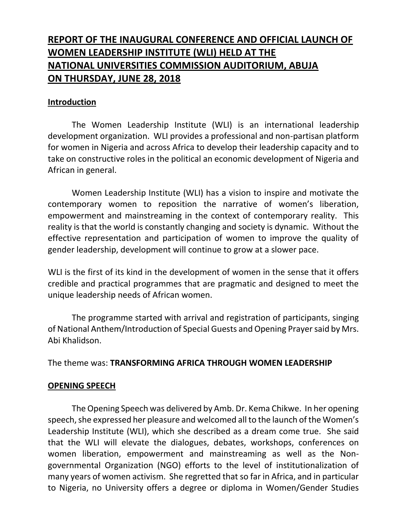# **REPORT OF THE INAUGURAL CONFERENCE AND OFFICIAL LAUNCH OF WOMEN LEADERSHIP INSTITUTE (WLI) HELD AT THE NATIONAL UNIVERSITIES COMMISSION AUDITORIUM, ABUJA ON THURSDAY, JUNE 28, 2018**

#### **Introduction**

The Women Leadership Institute (WLI) is an international leadership development organization. WLI provides a professional and non-partisan platform for women in Nigeria and across Africa to develop their leadership capacity and to take on constructive roles in the political an economic development of Nigeria and African in general.

Women Leadership Institute (WLI) has a vision to inspire and motivate the contemporary women to reposition the narrative of women's liberation, empowerment and mainstreaming in the context of contemporary reality. This reality is that the world is constantly changing and society is dynamic. Without the effective representation and participation of women to improve the quality of gender leadership, development will continue to grow at a slower pace.

WLI is the first of its kind in the development of women in the sense that it offers credible and practical programmes that are pragmatic and designed to meet the unique leadership needs of African women.

The programme started with arrival and registration of participants, singing of National Anthem/Introduction of Special Guests and Opening Prayer said by Mrs. Abi Khalidson.

The theme was: **TRANSFORMING AFRICA THROUGH WOMEN LEADERSHIP**

### **OPENING SPEECH**

The Opening Speech was delivered by Amb. Dr. Kema Chikwe. In her opening speech, she expressed her pleasure and welcomed all to the launch of the Women's Leadership Institute (WLI), which she described as a dream come true. She said that the WLI will elevate the dialogues, debates, workshops, conferences on women liberation, empowerment and mainstreaming as well as the Nongovernmental Organization (NGO) efforts to the level of institutionalization of many years of women activism. She regretted that so far in Africa, and in particular to Nigeria, no University offers a degree or diploma in Women/Gender Studies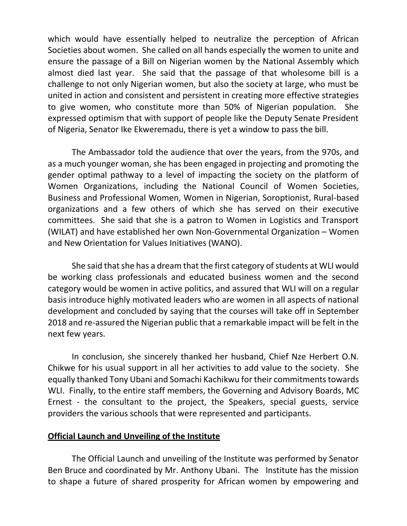which would have essentially helped to neutralize the perception of African Societies about women. She called on all hands especially the women to unite and ensure the passage of a Bill on Nigerian women by the National Assembly which almost died last year. She said that the passage of that wholesome bill is a challenge to not only Nigerian women, but also the society at large, who must be united in action and consistent and persistent in creating more effective strategies to give women, who constitute more than 50% of Nigerian population. She expressed optimism that with support of people like the Deputy Senate President of Nigeria, Senator Ike Ekweremadu, there is yet a window to pass the bill.

The Ambassador told the audience that over the years, from the 970s, and as a much younger woman, she has been engaged in projecting and promoting the gender optimal pathway to a level of impacting the society on the platform of Women Organizations, including the National Council of Women Societies, Business and Professional Women, Women in Nigerian, Soroptionist, Rural-based organizations and a few others of which she has served on their executive committees. She said that she is a patron to Women in Logistics and Transport (WILAT) and have established her own Non-Governmental Organization – Women and New Orientation for Values Initiatives (WANO).

She said that she has a dream that the first category of students at WLI would be working class professionals and educated business women and the second category would be women in active politics, and assured that WLI will on a regular basis introduce highly motivated leaders who are women in all aspects of national development and concluded by saying that the courses will take off in September 2018 and re-assured the Nigerian public that a remarkable impact will be felt in the next few years.

In conclusion, she sincerely thanked her husband, Chief Nze Herbert O.N. Chikwe for his usual support in all her activities to add value to the society. She equally thanked Tony Ubani and Somachi Kachikwu for their commitments towards WLI. Finally, to the entire staff members, the Governing and Advisory Boards, MC Ernest - the consultant to the project, the Speakers, special guests, service providers the various schools that were represented and participants.

#### **Official Launch and Unveiling of the Institute**

The Official Launch and unveiling of the Institute was performed by Senator Ben Bruce and coordinated by Mr. Anthony Ubani. The Institute has the mission to shape a future of shared prosperity for African women by empowering and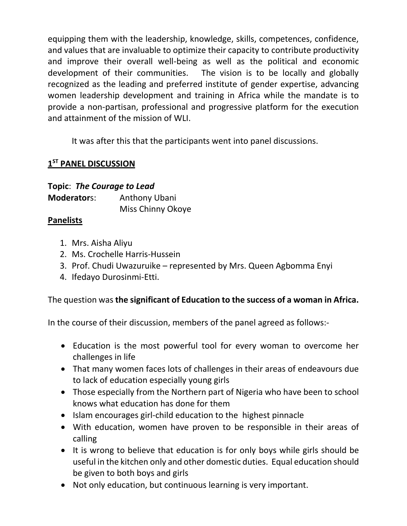equipping them with the leadership, knowledge, skills, competences, confidence, and values that are invaluable to optimize their capacity to contribute productivity and improve their overall well-being as well as the political and economic development of their communities. The vision is to be locally and globally recognized as the leading and preferred institute of gender expertise, advancing women leadership development and training in Africa while the mandate is to provide a non-partisan, professional and progressive platform for the execution and attainment of the mission of WLI.

It was after this that the participants went into panel discussions.

# **1 ST PANEL DISCUSSION**

## **Topic**: *The Courage to Lead*

**Moderator**s: Anthony Ubani Miss Chinny Okoye

### **Panelists**

- 1. Mrs. Aisha Aliyu
- 2. Ms. Crochelle Harris-Hussein
- 3. Prof. Chudi Uwazuruike represented by Mrs. Queen Agbomma Enyi
- 4. Ifedayo Durosinmi-Etti.

# The question was **the significant of Education to the success of a woman in Africa.**

In the course of their discussion, members of the panel agreed as follows:-

- Education is the most powerful tool for every woman to overcome her challenges in life
- That many women faces lots of challenges in their areas of endeavours due to lack of education especially young girls
- Those especially from the Northern part of Nigeria who have been to school knows what education has done for them
- Islam encourages girl-child education to the highest pinnacle
- With education, women have proven to be responsible in their areas of calling
- It is wrong to believe that education is for only boys while girls should be useful in the kitchen only and other domestic duties. Equal education should be given to both boys and girls
- Not only education, but continuous learning is very important.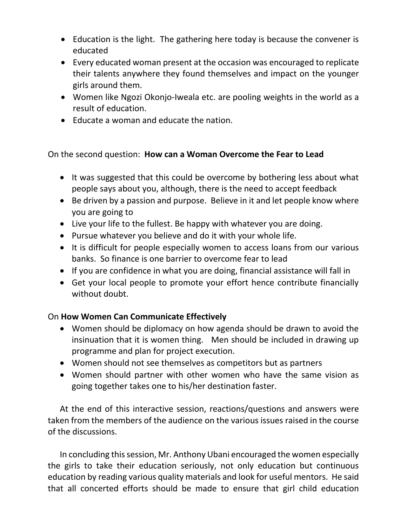- Education is the light. The gathering here today is because the convener is educated
- Every educated woman present at the occasion was encouraged to replicate their talents anywhere they found themselves and impact on the younger girls around them.
- Women like Ngozi Okonjo-Iweala etc. are pooling weights in the world as a result of education.
- Educate a woman and educate the nation.

On the second question: **How can a Woman Overcome the Fear to Lead**

- It was suggested that this could be overcome by bothering less about what people says about you, although, there is the need to accept feedback
- Be driven by a passion and purpose. Believe in it and let people know where you are going to
- Live your life to the fullest. Be happy with whatever you are doing.
- Pursue whatever you believe and do it with your whole life.
- It is difficult for people especially women to access loans from our various banks. So finance is one barrier to overcome fear to lead
- If you are confidence in what you are doing, financial assistance will fall in
- Get your local people to promote your effort hence contribute financially without doubt.

### On **How Women Can Communicate Effectively**

- Women should be diplomacy on how agenda should be drawn to avoid the insinuation that it is women thing. Men should be included in drawing up programme and plan for project execution.
- Women should not see themselves as competitors but as partners
- Women should partner with other women who have the same vision as going together takes one to his/her destination faster.

At the end of this interactive session, reactions/questions and answers were taken from the members of the audience on the various issues raised in the course of the discussions.

In concluding this session, Mr. Anthony Ubani encouraged the women especially the girls to take their education seriously, not only education but continuous education by reading various quality materials and look for useful mentors. He said that all concerted efforts should be made to ensure that girl child education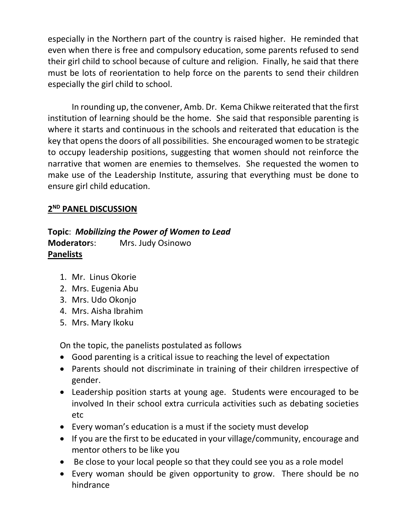especially in the Northern part of the country is raised higher. He reminded that even when there is free and compulsory education, some parents refused to send their girl child to school because of culture and religion. Finally, he said that there must be lots of reorientation to help force on the parents to send their children especially the girl child to school.

In rounding up, the convener, Amb. Dr. Kema Chikwe reiterated that the first institution of learning should be the home. She said that responsible parenting is where it starts and continuous in the schools and reiterated that education is the key that opens the doors of all possibilities. She encouraged women to be strategic to occupy leadership positions, suggesting that women should not reinforce the narrative that women are enemies to themselves. She requested the women to make use of the Leadership Institute, assuring that everything must be done to ensure girl child education.

## **2 ND PANEL DISCUSSION**

### **Topic**: *Mobilizing the Power of Women to Lead* **Moderator**s: Mrs. Judy Osinowo **Panelists**

- 1. Mr. Linus Okorie
- 2. Mrs. Eugenia Abu
- 3. Mrs. Udo Okonjo
- 4. Mrs. Aisha Ibrahim
- 5. Mrs. Mary Ikoku

On the topic, the panelists postulated as follows

- Good parenting is a critical issue to reaching the level of expectation
- Parents should not discriminate in training of their children irrespective of gender.
- Leadership position starts at young age. Students were encouraged to be involved In their school extra curricula activities such as debating societies etc
- Every woman's education is a must if the society must develop
- If you are the first to be educated in your village/community, encourage and mentor others to be like you
- Be close to your local people so that they could see you as a role model
- Every woman should be given opportunity to grow. There should be no hindrance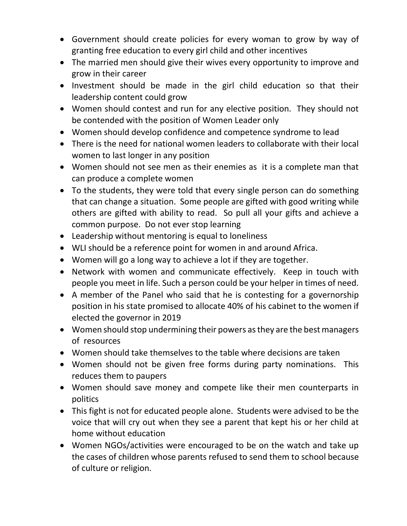- Government should create policies for every woman to grow by way of granting free education to every girl child and other incentives
- The married men should give their wives every opportunity to improve and grow in their career
- Investment should be made in the girl child education so that their leadership content could grow
- Women should contest and run for any elective position. They should not be contended with the position of Women Leader only
- Women should develop confidence and competence syndrome to lead
- There is the need for national women leaders to collaborate with their local women to last longer in any position
- Women should not see men as their enemies as it is a complete man that can produce a complete women
- To the students, they were told that every single person can do something that can change a situation. Some people are gifted with good writing while others are gifted with ability to read. So pull all your gifts and achieve a common purpose. Do not ever stop learning
- Leadership without mentoring is equal to loneliness
- WLI should be a reference point for women in and around Africa.
- Women will go a long way to achieve a lot if they are together.
- Network with women and communicate effectively. Keep in touch with people you meet in life. Such a person could be your helper in times of need.
- A member of the Panel who said that he is contesting for a governorship position in his state promised to allocate 40% of his cabinet to the women if elected the governor in 2019
- Women should stop undermining their powers as they are the best managers of resources
- Women should take themselves to the table where decisions are taken
- Women should not be given free forms during party nominations. This reduces them to paupers
- Women should save money and compete like their men counterparts in politics
- This fight is not for educated people alone. Students were advised to be the voice that will cry out when they see a parent that kept his or her child at home without education
- Women NGOs/activities were encouraged to be on the watch and take up the cases of children whose parents refused to send them to school because of culture or religion.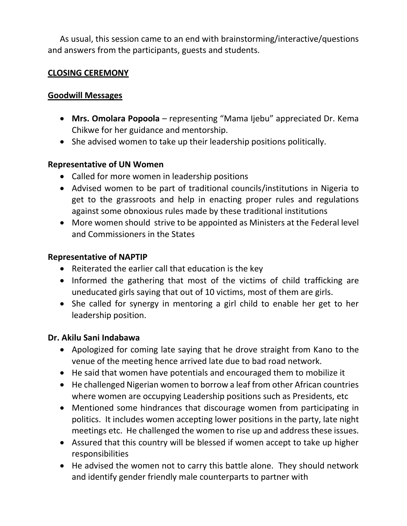As usual, this session came to an end with brainstorming/interactive/questions and answers from the participants, guests and students.

### **CLOSING CEREMONY**

### **Goodwill Messages**

- **Mrs. Omolara Popoola** representing "Mama Ijebu" appreciated Dr. Kema Chikwe for her guidance and mentorship.
- She advised women to take up their leadership positions politically.

### **Representative of UN Women**

- Called for more women in leadership positions
- Advised women to be part of traditional councils/institutions in Nigeria to get to the grassroots and help in enacting proper rules and regulations against some obnoxious rules made by these traditional institutions
- More women should strive to be appointed as Ministers at the Federal level and Commissioners in the States

### **Representative of NAPTIP**

- Reiterated the earlier call that education is the key
- Informed the gathering that most of the victims of child trafficking are uneducated girls saying that out of 10 victims, most of them are girls.
- She called for synergy in mentoring a girl child to enable her get to her leadership position.

### **Dr. Akilu Sani Indabawa**

- Apologized for coming late saying that he drove straight from Kano to the venue of the meeting hence arrived late due to bad road network.
- He said that women have potentials and encouraged them to mobilize it
- He challenged Nigerian women to borrow a leaf from other African countries where women are occupying Leadership positions such as Presidents, etc
- Mentioned some hindrances that discourage women from participating in politics. It includes women accepting lower positions in the party, late night meetings etc. He challenged the women to rise up and address these issues.
- Assured that this country will be blessed if women accept to take up higher responsibilities
- He advised the women not to carry this battle alone. They should network and identify gender friendly male counterparts to partner with